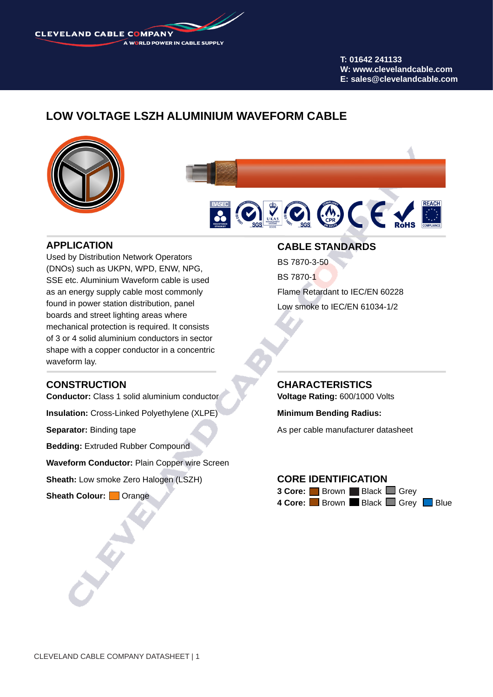**CLEVELAND CABLE COMPANY** A WORLD POWER IN CABLE SUPPLY

> **T: 01642 241133 W: www.clevelandcable.com E: sales@clevelandcable.com**

# **LOW VOLTAGE LSZH ALUMINIUM WAVEFORM CABLE**





### **APPLICATION**

Used by Distribution Network Operators (DNOs) such as UKPN, WPD, ENW, NPG, SSE etc. Aluminium Waveform cable is used as an energy supply cable most commonly found in power station distribution, panel boards and street lighting areas where mechanical protection is required. It consists of 3 or 4 solid aluminium conductors in sector shape with a copper conductor in a concentric waveform lay.

### **CONSTRUCTION**

**Conductor:** Class 1 solid aluminium conductor

**Insulation:** Cross-Linked Polyethylene (XLPE)

**Separator:** Binding tape

**Bedding: Extruded Rubber Compound** 

**Waveform Conductor:** Plain Copper wire Screen

**Sheath:** Low smoke Zero Halogen (LSZH)

**Sheath Colour:** Orange

#### **CABLE STANDARDS**

BS 7870-3-50 BS 7870-1 Flame Retardant to IEC/EN 60228 Low smoke to IEC/EN 61034-1/2

**CHARACTERISTICS**

**Voltage Rating:** 600/1000 Volts

**Minimum Bending Radius:** 

As per cable manufacturer datasheet

# **CORE IDENTIFICATION**

**3 Core:** Brown Black Grey 4 Core: **Brown Black Grey Blue**